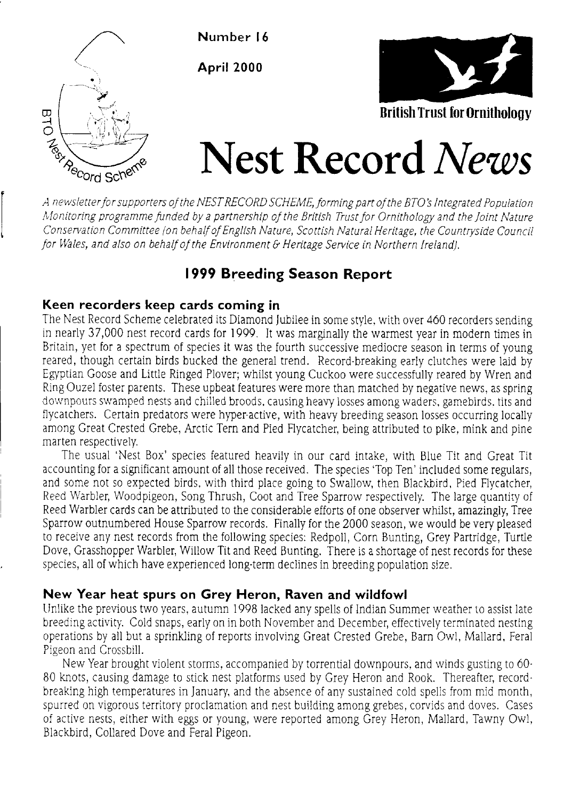

Number 16

April 2000



# Nest Record News  $\mathcal{A}_{\mathcal{B}_{\mathcal{B}_{\mathcal{C}.\mathsf{Order}}}$  for supporters of the NEST RECORD SCHEME, forming part of the BTO's Integrated Population

Monitoring programme funded by a partnership of the British Trust for Ornithology and the Joint Nature Conservation Committee (on behalf of English Nature, Scottish Natural Heritage, the Countryside Council for Wales, and also on behalf of the Environment & Heritage Service in Northern Ireland).

# 1999 Breeding Season Report

## Keen recorders keep cards coming in

The Nest Record Scheme celebrated its Diamond Jubilee in some style, with over 460 recorders sending in nearly 37,000 nest record cards for 1999. It was marginaliy the warmest year in modern times in Britain, yet for a spectrum of species it was the fourth successive mediocre season in terms of young reared, though certain birds bucked the general trend. Record-breaking early clutches were laid by Egyptian Goose and Little Ringed Plover; whilst young Cuckoo were successfully reared by Wren and Ring Ouzel foster parents. These upbeat features were more than matched by negative news, as spring downpours swamped nests and chilled broods, causing heavy losses among waders, gamebirds, tits and flycatchers. Certain predators were hyper-active, with heavy breeding season losses occurring locally among Great Crested Grebe, Arctic Tern and Pied Flycatcher, being attributed to pike, mink and pine marten respectively.

The usual 'Nest Box'species featured heavily in our card intake, with Blue Tit and Great Tit accounting for a significant amount of all those received. The species 'Top Ten' included some regulars, and some not so expected birds, with third place going to Swallow, then Blackbird, Pied Flycatcher, Reed Warbler, Woodpigeon, Song Thrush, Coot and Tree Sparrow respectively. The large quantity of Reed Warbler cards can be attributed to the considerable efforts of one observer whilst, amazingly, Tree Sparrow outnumbered House Sparrow records. Finally for the 2000 season, we would be very pleased to receive any nest records from the following species: Redpoll, Corn Bunting, Grey Partridge, Turtle Dove, Grasshopper Warbler, Willow Tit and Reed Bunting. There is a shortage of nest records for these species, all of which have experienced long-term declines in breeding population size.

## New Year heat spurs on Grey Heron, Raven and wildfowl

Linlike the previous two years, autumn 1998 lacked any spells of Indian Summer weather to assist late breeding activity. Cold snaps, early on in both November and December, effectively terminated nesting operations by all but a sprinkling of reports involving Great Crested Grebe, Barn Owl, Mallard, Feral Pigeon and Crossbill.

New Year brought violent storms, accompanied by torrential downpours, and winds gusting to 60-80 knots, causing damage to stick nest platforms used by Grey Heron and Rook. Thereafter, recordbreaking high temperatures in January, and the absence of any sustained cold spells from mid month, spurred on vigorous territory proclamation and nest building among grebes, corvids and doves. Cases of active nests, either with eggs or young, were reported among Grey Heron, Mallard, Tawny Owl, Biackbird, Collared Dove and Feral Pigeon.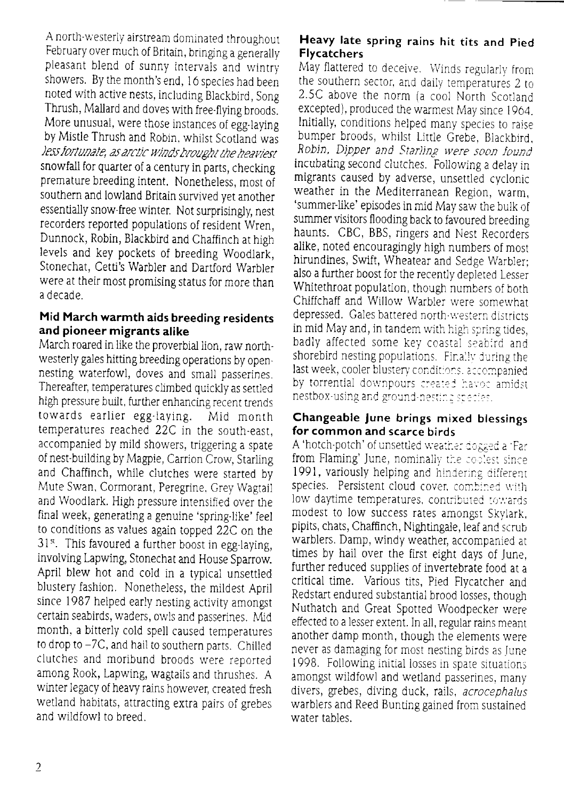A north-westerly airstream dominated throughout February over much of Britain, bringing a generally pleasant blend of sunny intervals and wintry showers. By the month's end, 16 species had been noted with active nests, including Blackbird, Song Thrush. Mallard and doves with free-flying broods. More unusual, were those instances of egg-laying by Mistle Thrush and Robin, whilst Scotland was less fortunate, as arctic winds brought the heaviest snowfall for quarter of a century in parts, checking premature breeding intent. Nonetheless, most of southern and lowland Britain survived yet another essentially snow-free winter. Not surprisingly, nest recorders reported populations of resident Wren. Dunnock, Robin, Blackbird and Chaffinch at high levels and key pockets of breeding Woodlark, Stonechat, Cetti's Warbler and Dartford Warbler were at their most promising status for more than a decade.

## Mid March warmth aids breeding residents and pioneer migrants alike

March roared in like the proverbial lion, raw northwesterly gales hitting breeding operations by opennesting waterfowl, doves and small passerines. Thereafter, temperatures climbed quickly as settled high pressure built, further enhancing recent trends towards earlier egg-laving. Mid month temperatures reached 22C in the south-east, accompanied by mild showers, triggering a spate of nest-building by Magpie, Carrion Crow, Starling and Chaffinch, while clutches were started by Mute Swan, Cormorant, Peregrine, Grey Wagtail and Woodlark. High pressure intensified over the final week, generating a genuine 'spring-like' feel to conditions as values again topped 22C on the 31<sup>st</sup>. This favoured a further boost in egg-laying, involving Lapwing, Stonechat and House Sparrow. April blew hot and cold in a typical unsettled blustery fashion. Nonetheless, the mildest April since 1987 helped early nesting activity amongst certain seabirds, waders, owls and passerines. Mid month, a bitterly cold spell caused temperatures to drop to -7C, and hail to southern parts. Chilled clutches and moribund broods were reported among Rook, Lapwing, wagtails and thrushes. A winter legacy of heavy rains however, created fresh wetland habitats, attracting extra pairs of grebes and wildfowl to breed.

#### Heavy late spring rains hit tits and Pied **Flycatchers**

May flattered to deceive. Winds regularly from the southern sector, and daily temperatures 2 to 2.5C above the norm (a cool North Scotland excepted), produced the warmest May since 1964. Initially, conditions helped many species to raise bumper broods, whilst Little Grebe, Blackbird, Robin, Dipper and Starling were soon found incubating second clutches. Following a delay in migrants caused by adverse, unsettled cyclonic weather in the Mediterranean Region, warm, 'summer-like' episodes in mid May saw the bulk of summer visitors flooding back to favoured breeding haunts. CBC, BBS, ringers and Nest Recorders alike, noted encouragingly high numbers of most hirundines, Swift, Wheatear and Sedge Warbler: also a further boost for the recently depleted Lesser Whitethroat population, though numbers of both Chiffchaff and Willow Warbler were somewhat depressed. Gales battered north-western districts in mid May and, in tandem with high spring tides, badly affected some key coastal seabird and shorebird nesting populations. Finally during the last week, cooler blustery conditions, accompanied. by torrential downpours created havoc amidst nestbox-using and ground-nesting species.

#### Changeable June brings mixed blessings for common and scarce birds

A 'hotch-potch' of unsettled weather dogged a 'Far from Flaming' June, nominally the coolest since 1991, variously helping and hindering different species. Persistent cloud cover, combined with low daytime temperatures, contributed towards modest to low success rates amongst Skylark, pipits, chats, Chaffinch, Nightingale, leaf and scrub warblers. Damp, windy weather, accompanied at times by hail over the first eight days of June. further reduced supplies of invertebrate food at a critical time. Various tits, Pied Flycatcher and Redstart endured substantial brood losses, though Nuthatch and Great Spotted Woodpecker were effected to a lesser extent. In all, regular rains meant another damp month, though the elements were never as damaging for most nesting birds as June 1998. Following initial losses in spate situations. amongst wildfowl and wetland passerines, many divers, grebes, diving duck, rails, acrocephalus warblers and Reed Bunting gained from sustained water tables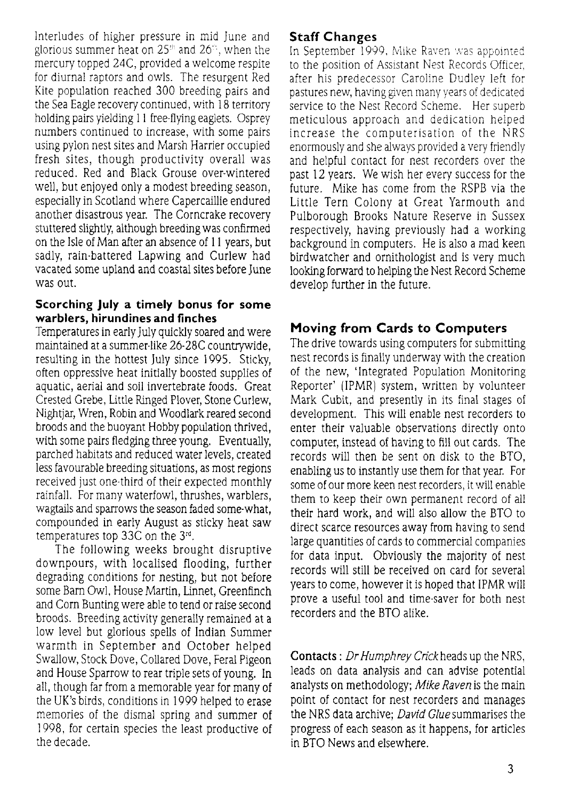Interludes of higher pressure in mid June and glorious summer heat on  $25<sup>th</sup>$  and  $26<sup>th</sup>$ , when the mercury topped 24C, provided a welcome respite for diurnal raptors and owls. The resurgent Red Kite population reached 300 breeding pairs and the Sea Eagle recovery continued, with  $18$  territory holding pairs yielding 11 free-flying eaglets. Osprey numbers continued to increase, with some pairs using pylon nest sites and Marsh Harrier occupied fiesh sites, though productivity overall was reduced. Red and Black Grouse over-wintered well, but enjoyed only a modest breeding season, especially in Scotland where Capercaillie endured another disastrous year. The Corncrake recovery stuttered slightly, although breeding was confirmed on the Isle of Man after an absence of 11 years, but sadly, rain-battered Lapwing and Curlew had vacated some upland and coastal sites before June was out.

#### Scorching July a timely bonus for some warblers, hirundines and finches

Temperatures in early July quickly soared and were maintained at a summer-like 26-28C countrywide, resulting in the hottest July since 1995. Sticky, often oppressive heat initially boosted supplies of aquatic, aerial and soil invertebrate foods. Great Crested Grebe, Little Ringed Plover, Stone Curlew, Nightiar, Wren, Robin and Woodlark reared second broods and the buoyant Hobby population thrived. with some pairs fledging three young. Eventually, parched habitats and reduced water levels, created less favourable breeding situations, as most regions received just one-third of their expected monthly rainfall. For many waterfowl, thrushes, warblers, wagtails and sparrows the season faded some-what, compounded in early August as sticky heat saw temperatures top 33C on the 3'd.

The following weeks brought disruptive downpours, with localised flooding, further degrading conditions for nesting, but not before some Barn Owl, House Martin, Linnet, Greenfinch and Com Bunting were able to tend or raise second broods. Breeding activity generally remained at a low level but glorious spells of lndian Summer warmth in September and October helped Swallow, Stock Dove, Collared Dove, Feral Pigeon and House Sparrow to rear triple sets of young. In all, though far fiom a memorable year for many of the UK's birds, conditions in1999 helped to erase memories of tie dismal spring and summer of 1998, for certain species the least productive of ihe decade.

## Staff Changes

In September  $1999$ . Mike Raven was appointed to the position of Assistant Nest Records Officer, after his predecessor Caroline Dudley left for pastures new, having given many years of dedicated service to the Nest Record Scheme. Her superb meticulous approach and dedication helped increase the computerisation of the NRS enormously and she always provided a very friendly and helpful contact for nest recorders Over the past l2 years. We wish her every success for the future. Mike has come from the RSPB via the Little Tern Colony at Great Yarmouth and Pulborough Brooks Nature Reserve in Sussex respectively, having previously had a working background in computers. He is also a mad keen birdwatcher and ornithologist and is very much looking forward to helping the Nest Record Scheme develop further in the future.

# Moving from Cards to Computers

The drive towards using computers for submitting nest records is finaliy underway with the creation of the new, 'lntegrated Population Monitoring Reporter' (IPMR) system, written by volunteer Mark Cubit, and presently in jts final stages of development. This will enable nest recorders to enter their valuable observations directly onto computer, instead of having to fill out cards. The records will then be sent on disk to the BTO, enabling us t0 instantly use them for that year. FOr some of our more keen nest recorders, itwill enable them to keep their own permanent record of all their hard work, and will also allow the BTO to direct scarce resources away from having to send large quantities of cards to commercial companies for data input. Obviously the majority of nest records will still be received on card for several years to come, however it is hoped that IPMR will prove a useful tool and time-saver for both nest recorders and the BTo alike.

Contacts : Dr Humphrey Crick heads up the NRS, leads on data analysis and can advise potential analysts on methodology: Mike Raven is the main point of contact for nest recorders and manages the NRS data archive; David Glue summarises the progress of each season as it happens, for articles in BTO News and elsewhere.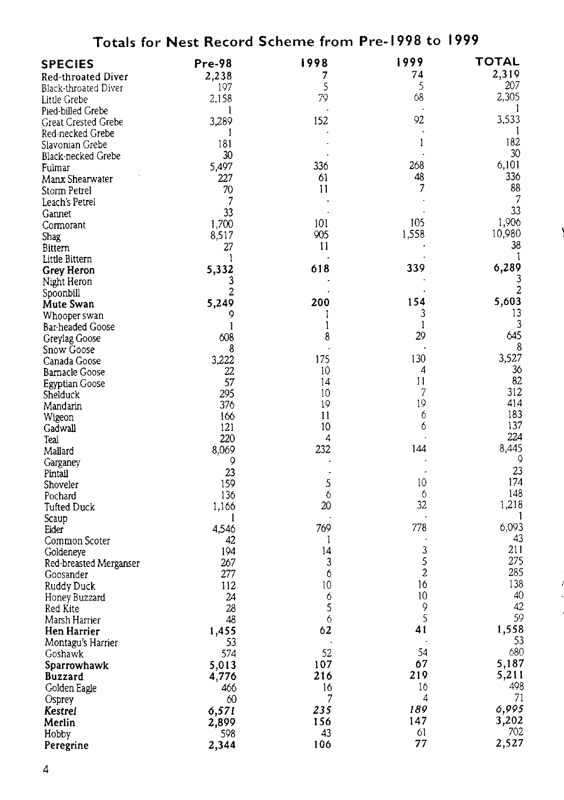| Totals for Nest Record Scheme from Pre-1998 to 1999 |            |          |                 |                |
|-----------------------------------------------------|------------|----------|-----------------|----------------|
| <b>SPECIES</b>                                      | Pre-98     | 1998     | 1999            | TOTAL          |
| <b>Red-throated Diver</b>                           | 2,238      | 7        | 74              | 2,319          |
| Black-throated Diver                                | 197        | 5        | 5               | 207            |
| Little Grebe                                        | 2.158      | 79       | 68              | 2,305          |
| Pied-billed Grebe                                   | 1          |          |                 |                |
| Great Crested Grebe                                 | 3,289      | 152      | 92              | 3,533          |
| Red-necked Grebe                                    | 1          |          |                 | 1              |
| Slavonian Grebe                                     | 181        |          | 1               | 182            |
| Black-necked Grebe                                  | 30         |          |                 | 30<br>6,101    |
| Fulmar                                              | 5,497      | 336      | 268<br>48       | 336            |
| Manx Shearwater                                     | 227        | 61<br>11 | 7               | 88             |
| Storm Petrel                                        | 70         |          |                 | $\overline{7}$ |
| Leach's Petrel                                      | 33         |          |                 | 33             |
| Gannet                                              | 1,700      | 101      | 105             | 1,906          |
| Cormorant<br><b>Shag</b>                            | 8,517      | 905      | 1,558           | 10,980         |
| Bittern                                             | 27         | 11       |                 | 38             |
| Little Bittern                                      | 1          |          |                 | -1             |
| Grey Heron                                          | 5,332      | 618      | 339             | 6,289          |
| Night Heron                                         | 3          |          |                 | 3              |
| Spoonbill                                           | 2          |          |                 | 2              |
| Mute Swan                                           | 5,249      | 200      | 154             | 5,603          |
| Whooper swan                                        | 9          | I        | 3               | 13             |
| Bar-headed Goose                                    | 1          | 1        | 1               | 3              |
| Greylag Goose                                       | 608        | 8        | 29              | 645            |
| Snow Goose                                          | 8          |          |                 | 8              |
| Canada Goose                                        | 3,222      | 175      | 130             | 3,527          |
| Barnacle Goose                                      | 22         | 10       | 4               | 36             |
| Egyptian Goose                                      | 57         | 14       | $\overline{11}$ | 82             |
| Shelduck                                            | 295        | 10       | 7<br>19         | 312<br>414     |
| Mandarin                                            | 376        | 19<br>11 | 6               | 183            |
| Wigeon                                              | 166<br>121 | 10       | 6               | 137            |
| Gadwall<br>Teal                                     | 220        | 4        |                 | 224            |
| Mallard                                             | 8,069      | 232      | 144             | 8,445          |
| Garganey                                            | 9          |          |                 | 9              |
| Pintail                                             | 23         |          | $\cdot$         | 23             |
| Shoveler                                            | 159        | 5        | 10              | 174            |
| Pochard                                             | 136        | 6        | 6               | 148            |
| Tufted Duck                                         | 1,166      | 20       | 32              | 1,218          |
| Scaup                                               | 1          |          |                 | 1              |
| Eider                                               | 4,546      | 769      | 778             | 6,093<br>43    |
| Common Scoter                                       | 42         | 1        | 3               | 211            |
| Goldeneye                                           | 194<br>267 | 14<br>3  | 5               | 275            |
| Red-breasted Merganser<br>Goosander                 | 277        | 6        | $\overline{c}$  | 285            |
| Ruddy Duck                                          | 112        | 10       | 16              | 138            |
| Honey Buzzard                                       | 24         | 6        | 10              | 40             |
| Red Kite                                            | 28         | 5        | 9               | 42             |
| Marsh Harrier                                       | 48         | 6        | 5               | 59             |
| Hen Harrier                                         | 1,455      | 62       | 41              | 1,558          |
| Montagu's Harrier                                   | 53         |          |                 | 53             |
| Goshawk                                             | 574        | 52       | 54              | 680            |
| Sparrowhawk                                         | 5,013      | 107      | 67              | 5,187          |
| <b>Buzzard</b>                                      | 4,776      | 216      | 219             | 5,211          |
| Golden Eagle                                        | 466        | 16       | 16              | 498            |
| Osprey                                              | 60         | 7        | 4               | 71             |
| Kestrel                                             | 6,571      | 235      | 189             | 6,995          |
| Merlin                                              | 2,899      | 156      | 147             | 3,202          |
| Hobby                                               | 598        | 43       | 61              | 702            |
| Peregrine                                           | 2,344      | 106      | 77              | 2,527          |

 $\overline{\phantom{a}}$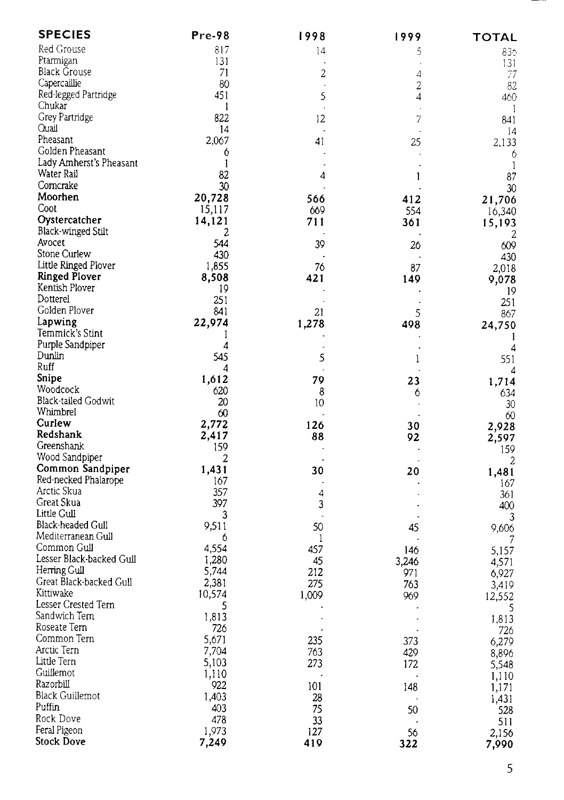| <b>SPECIES</b>               | Pre-98       | 1998    | 1999                 | TOTAL          |
|------------------------------|--------------|---------|----------------------|----------------|
| Red Grouse                   | 817          | 14      | 5                    | 836.           |
| Ptarmigan                    | 131          |         |                      | 131            |
| Black Grouse                 | 71           | 2       | 4                    | 77             |
| Capercaillie                 | 80           | $\cdot$ | 2                    | 82             |
| Red-legged Partridge         | 451          | 5       | 4                    | 460            |
| Chukar                       | $\mathbf{1}$ |         | $\ddot{\phantom{a}}$ | -1             |
| Grey Partridge               | 822          | 12      | 7                    | 841            |
| Ouail                        | 14           |         |                      | 4              |
| Pheasant                     | 2,067        | 41      | 25                   | 2,133          |
| Golden Pheasant              | 6            |         |                      | 6              |
| Lady Amherst's Pheasant      | 1            |         | $\cdot$              | -1             |
| Water Rail                   | 82           | 4       | 1                    | 87             |
| Corncrake                    | 30           |         |                      | 30             |
| Moorhen                      | 20,728       | 566     | 412                  | 21,706         |
| Coot                         | 15,117       | 669     | 554                  | 16,340         |
| Oystercatcher                | 14,121       | 711     | 361                  | 15,193         |
| <b>Black-winged Stilt</b>    | 2            |         |                      | 2              |
| Avocet                       | 544          | 39      | 26                   | 609            |
| Stone Curlew                 | 430          |         |                      | 430            |
| Little Ringed Plover         | 1,855        | 76      | 87                   | 2,018          |
| <b>Ringed Plover</b>         | 8,508        | 421     | 149                  | 9,078          |
| Kentish Plover               | 19           |         |                      | 19             |
| Dotterel                     | 251          |         |                      | 251            |
| Golden Plover                | 841          | 21      | 5                    | 867            |
| Lapwing                      | 22,974       | 1,278   | 498                  | 24,750         |
| Temmick's Stint              | 1            |         |                      | 1              |
| Purple Sandpiper<br>Dunlin   | 4            |         |                      | 4              |
| Ruff                         | 545          | 5       | 1                    | 551            |
| Snipe                        | 4            |         |                      | 4              |
| Woodcock                     | 1,612<br>620 | 79      | 23                   | 1,714          |
| Black-tailed Godwit          | 20           | 8<br>10 | 6                    | 634            |
| Whimbrel                     | 60           |         |                      | 30             |
| Curlew                       | 2,772        | 126     | 30                   | 60             |
| Redshank                     | 2,417        | 88      | 92                   | 2,928<br>2,597 |
| Greenshank                   | 159          |         |                      | 159            |
| Wood Sandpiper               | 2            |         |                      | 2              |
| Common Sandpiper             | 1,431        | 30      | 20                   | 1,481          |
| Red-necked Phalarope         | 167          |         |                      | 167            |
| Arctic Skua                  | 357          | 4       |                      | 361            |
| Great Skua                   | 397          | 3       |                      | 400            |
| Little Gull                  | 3            |         |                      | 3              |
| Black-headed Gull            | 9,511        | 50      | 45                   | 9,606          |
| Mediterranean Gull           | 6            | 1       |                      |                |
| Common Gull                  | 4,554        | 457     | 146                  | 5,157          |
| Lesser Black-backed Gull     | 1,280        | 45      | 3,246                | 4,571          |
| Herring Gull                 | 5,744        | 212     | 971                  | 6,927          |
| Great Black-backed Gull      | 2,381        | 275     | 763                  | 3,419          |
| Kittiwake                    | 10.574       | 1,009   | 969                  | 12,552         |
| Lesser Crested Tern          | 5            |         |                      | 5              |
| Sandwich Tern                | 1,813        |         |                      | 1,813          |
| Roseate Tern                 | 726          |         |                      | 726            |
| Common Tern                  | 5,671        | 235     | 373                  | 6,279          |
| Arctic Tern                  | 7,704        | 763     | 429                  | 8,896          |
| Little Tern                  | 5,103        | 273     | 172                  | 5,548          |
| Guillemot                    | 1,110        |         |                      | 1,110          |
| Razorbill<br>Black Guillemot | 922          | 101     | 148                  | 1,171          |
|                              | 1,403        | 28      |                      | 1,431          |
| Puffin                       | 403          | 75      | 50                   | 528            |
| Rock Dove                    | 478          | 33      |                      | 511            |
| Feral Pigeon                 | 1,973        | 127     | 56                   | 2,156          |
| Stock Dove                   | 7,249        | 419     | 322                  | 7,990          |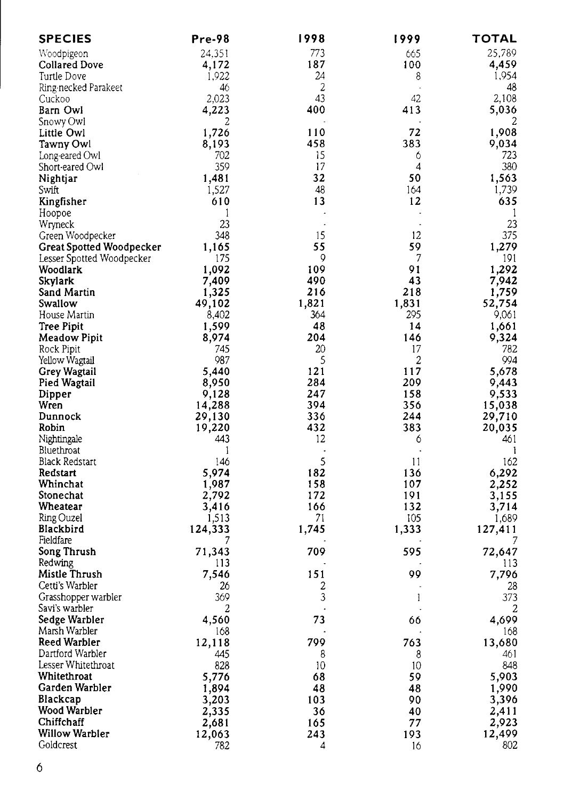| <b>SPECIES</b>                  | Pre-98  | 1998           | 1999                     | TOTAL   |
|---------------------------------|---------|----------------|--------------------------|---------|
| Woodpigeon                      | 24.351  | 773            | 665                      | 25,789  |
| Collared Dove                   | 4,172   | 187            | 100                      | 4,459   |
| Turtle Dove                     | 1,922   | 24             | 8                        | 1,954   |
| Ring-necked Parakeet            | 46      | $\overline{2}$ | $\overline{\phantom{a}}$ | 48      |
| Cuckoo                          | 2,023   | 43             | 42                       | 2,108   |
| Barn Owl                        | 4,223   | 400            | 413                      | 5,036   |
| Snowy Owl                       | 2       |                |                          |         |
| Little Owl                      | 1,726   | 110            | 72                       | 1,908   |
| Tawny Owl                       | 8,193   | 458            | 383                      | 9,034   |
| Long-eared Owl                  | 702     | 15             | 6                        | 723     |
| Short-eared Owl                 | 359     | 17             | 4                        | 380     |
| Nightjar                        | 1,481   | 32             | 50                       | 1,563   |
| Swift                           | 1,527   | 48             | 164                      | 1,739   |
| Kingfisher                      | 610     | 13             | 12                       | 635     |
|                                 | 1       |                | $\ddot{\phantom{a}}$     | -1      |
| Hoopoe                          | 23      |                | $\blacksquare$           | 23      |
| Wryneck                         | 348     | 15             | 12                       | 375     |
| Green Woodpecker                |         |                |                          |         |
| <b>Great Spotted Woodpecker</b> | 1,165   | 55             | 59                       | 1,279   |
| Lesser Spotted Woodpecker       | 175     | 9              | 7                        | 191     |
| Woodlark                        | 1,092   | 109            | 91                       | 1,292   |
| Skylark                         | 7,409   | 490            | 43                       | 7,942   |
| Sand Martin                     | 1,325   | 216            | 218                      | 1,759   |
| Swallow                         | 49,102  | 1,821          | 1,831                    | 52,754  |
| House Martin                    | 8,402   | 364            | 295                      | 9,061   |
| Tree Pipit                      | 1,599   | 48             | 14                       | 1,661   |
| Meadow Pipit                    | 8,974   | 204            | 146                      | 9,324   |
| Rock Pipit                      | 745     | 20             | 17                       | 782     |
| Yellow Wagtail                  | 987     | 5              | 2                        | 994     |
| Grey Wagtail                    | 5,440   | 121            | 117                      | 5,678   |
| Pied Wagtail                    | 8,950   | 284            | 209                      | 9,443   |
| Dipper                          | 9,128   | 247            | 158                      | 9,533   |
| Wren                            | 14,288  | 394            | 356                      | 15,038  |
| Dunnock                         | 29,130  | 336            | 244                      | 29,710  |
| Robin                           | 19,220  | 432            | 383                      | 20,035  |
| Nightingale                     | 443     | 12             | 6                        | 461     |
| Bluethroat                      | 1       | $\cdot$        | $\ddot{\phantom{a}}$     | 1       |
| Black Redstart                  | 146     | 5              | 11                       | 162     |
| Redstart                        | 5,974   | 182            | 136                      | 6,292   |
| Whinchat                        | 1,987   | 158            | 107                      | 2,252   |
| Stonechat                       | 2,792   | 172            | 191                      | 3,155   |
| Wheatear                        | 3,416   | 166            | 132                      | 3,714   |
| Ring Ouzel                      | 1,513   | 71             | 105                      | 1,689   |
| Blackbird                       | 124,333 | 1,745          | 1,333                    | 127,411 |
| Fieldfare                       | 7       |                |                          | 7       |
| Song Thrush                     | 71,343  | 709            | 595                      | 72,647  |
| Redwing                         | 113     |                |                          | 113     |
| Mistle Thrush                   | 7.546   | 151            | 99                       | 7,796   |
| Cetti's Warbler                 | 26      | 2              |                          | 28      |
| Grasshopper warbler             | 369     | 3              | 1                        | 373     |
| Savi's warbler                  | 2       |                |                          | 2       |
| Sedge Warbler                   | 4,560   | 73             | 66                       | 4,699   |
| Marsh Warbler                   | -168    |                |                          | 168     |
| Reed Warbler                    | 12,118  | 799            | 763                      | 13,680  |
| Dartford Warbler                | 445     | 8              | 8                        | 461     |
| Lesser Whitethroat              | 828     | 10             | 10                       | 848     |
| Whitethroat                     | 5,776   | 68             | 59                       | 5,903   |
| Garden Warbler                  | 1,894   | 48             | 48                       | 1,990   |
| Blackcap                        | 3,203   | 103            | 90                       | 3,396   |
| Wood Warbler                    |         |                |                          | 2,411   |
|                                 | 2,335   | 36             | 40                       |         |
| Chiffchaff                      | 2,681   | 165            | 77                       | 2,923   |
| Willow Warbler                  | 12,063  | 243            | 193                      | 12,499  |
| Goldcrest                       | 782     | 4              | 16                       | 802     |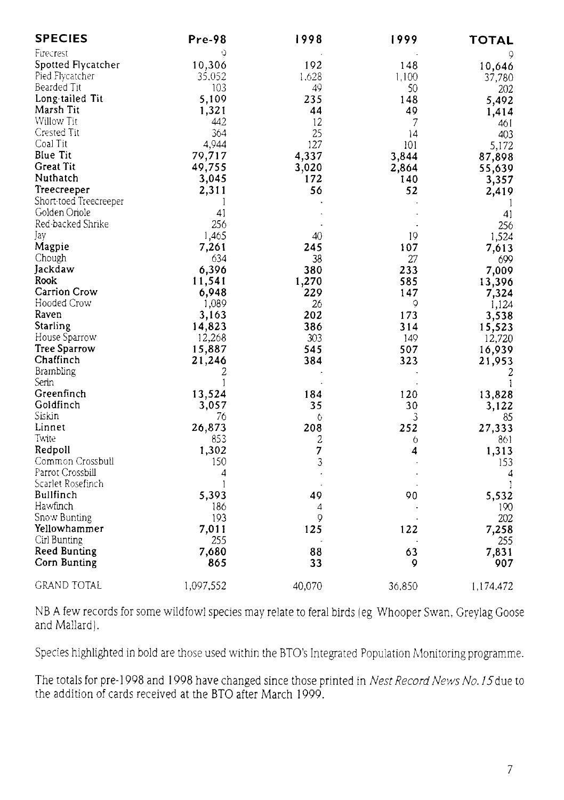| <b>SPECIES</b>         | Pre-98         | 1998   | 1999   | TOTAL     |
|------------------------|----------------|--------|--------|-----------|
| Firecrest              | Q              |        |        |           |
| Spotted Flycatcher     | 10,306         | 192    | 148    | 10,646    |
| Pied Flycatcher        | 35,052         | 1,628  | 1,100  | 37,780    |
| Bearded Tit            | 103            | 49     | 50     | 202       |
| Long-tailed Tit        | 5,109          | 235    | 148    | 5,492     |
| Marsh Tit              | 1,321          | 44     | 49     | 1,414     |
| Willow Tit             | 442            | 12     | 7      | 461       |
| Crested Tit            | 364            | 25     | 14     | 403       |
| Coal Tit               | 4,944          | 127    | 101    | 5,172     |
| <b>Blue Tit</b>        | 79,717         | 4,337  | 3,844  | 87,898    |
| Great Tit              | 49,755         | 3,020  | 2,864  | 55,639    |
| Nuthatch               | 3,045          | 172    | 140    | 3,357     |
| Treecreeper            | 2,311          | 56     | 52     | 2,419     |
| Short-toed Treecreeper | 1              |        |        | 1         |
| Golden Oriole          | 41             |        |        | 41        |
| Red-backed Shrike      | 256            |        |        | 256       |
| Jay                    | 1,465          | 40     | 19     | 1,524     |
| Magpie                 | 7,261          | 245    | 107    | 7,613     |
| Chough                 | 634            | 38     | 27     | 699       |
| Jackdaw                | 6,396          | 380    | 233    | 7,009     |
| Rook                   | 11,541         | 1,270  | 585    | 13,396    |
| Carrion Crow           | 6,948          | 229    | 147    | 7,324     |
| Hooded Crow            | 1,089          | 26     | 9      | 1,124     |
| Raven                  | 3,163          | 202    | 173    | 3,538     |
| Starling               | 14,823         | 386    | 314    | 15,523    |
| House Sparrow          | 12,268         | 303    | 149    | 12,720    |
| Tree Sparrow           | 15,887         | 545    | 507    | 16,939    |
| Chaffinch              | 21,246         | 384    | 323    | 21,953    |
| <b>Brambling</b>       | 2              |        |        | 2         |
| Serin                  | 1              |        |        | 1         |
| Greenfinch             | 13,524         | 184    | 120    | 13,828    |
| Goldfinch              | 3,057          | 35     | 30     | 3,122     |
| Siskin                 | 76             | 6      | 3      | 85        |
| Linnet                 | 26,873         | 208    | 252    | 27,333    |
| Twite                  | 853            | 2      | 6      | 861       |
| Redpoll                | 1,302          | 7      | 4      | 1,313     |
| Common Crossbull       | 150            | 3      |        | 153       |
| Parrot Crossbill       | $\overline{4}$ |        |        | 4         |
| Scarlet Rosefinch      | 1              |        |        | 1         |
| Bullfinch              | 5.393          | 49     | 90     | 5,532     |
| Hawfinch               | 186            | 4      |        | 190       |
| Snow Bunting           | 193            | 9      |        | 202       |
| Yellowhammer           | 7,011          | 125    | 122    | 7,258     |
| Cirl Bunting           | 255            |        |        | 255       |
| <b>Reed Bunting</b>    | 7,680          | 88     | 63     | 7,831     |
| Corn Bunting           | 865            | 33     | 0      | 907       |
| <b>GRAND TOTAL</b>     | 1,097,552      | 40,070 | 36,850 | 1,174,472 |

NB A few records for some wildfowl species may relate to feral birds (eg Whooper Swan, Greylag Goose and Mallard).

Species highlighted in bold are those used within the BTO's Integrated Population Monitoring programme.

The totals for pre-1998 and 1998 have changed since those printed in *Nest Record News No. 15* due to the addition of cards received at the BTO after March 1999.